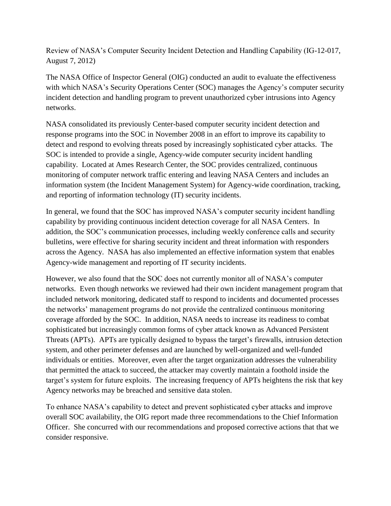Review of NASA's Computer Security Incident Detection and Handling Capability (IG-12-017, August 7, 2012)

The NASA Office of Inspector General (OIG) conducted an audit to evaluate the effectiveness with which NASA's Security Operations Center (SOC) manages the Agency's computer security incident detection and handling program to prevent unauthorized cyber intrusions into Agency networks.

NASA consolidated its previously Center-based computer security incident detection and response programs into the SOC in November 2008 in an effort to improve its capability to detect and respond to evolving threats posed by increasingly sophisticated cyber attacks. The SOC is intended to provide a single, Agency-wide computer security incident handling capability. Located at Ames Research Center, the SOC provides centralized, continuous monitoring of computer network traffic entering and leaving NASA Centers and includes an information system (the Incident Management System) for Agency-wide coordination, tracking, and reporting of information technology (IT) security incidents.

In general, we found that the SOC has improved NASA's computer security incident handling capability by providing continuous incident detection coverage for all NASA Centers. In addition, the SOC's communication processes, including weekly conference calls and security bulletins, were effective for sharing security incident and threat information with responders across the Agency. NASA has also implemented an effective information system that enables Agency-wide management and reporting of IT security incidents.

However, we also found that the SOC does not currently monitor all of NASA's computer networks. Even though networks we reviewed had their own incident management program that included network monitoring, dedicated staff to respond to incidents and documented processes the networks' management programs do not provide the centralized continuous monitoring coverage afforded by the SOC. In addition, NASA needs to increase its readiness to combat sophisticated but increasingly common forms of cyber attack known as Advanced Persistent Threats (APTs). APTs are typically designed to bypass the target's firewalls, intrusion detection system, and other perimeter defenses and are launched by well-organized and well-funded individuals or entities. Moreover, even after the target organization addresses the vulnerability that permitted the attack to succeed, the attacker may covertly maintain a foothold inside the target's system for future exploits. The increasing frequency of APTs heightens the risk that key Agency networks may be breached and sensitive data stolen.

To enhance NASA's capability to detect and prevent sophisticated cyber attacks and improve overall SOC availability, the OIG report made three recommendations to the Chief Information Officer. She concurred with our recommendations and proposed corrective actions that that we consider responsive.